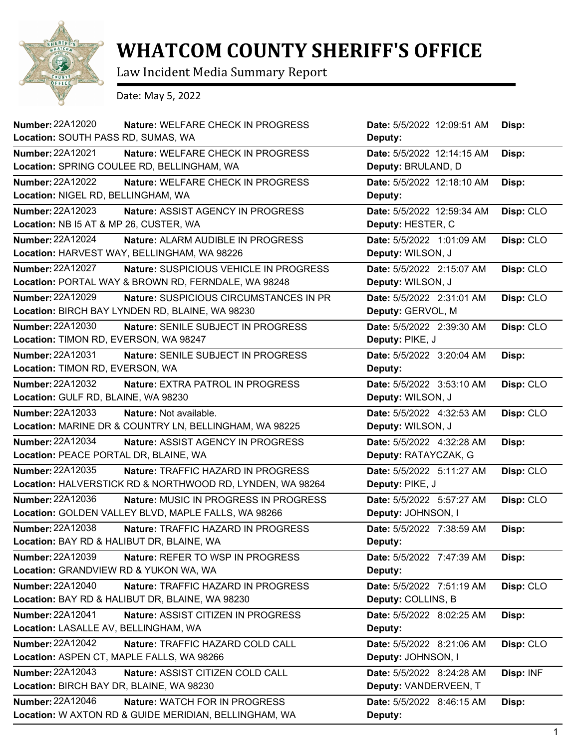

## **WHATCOM COUNTY SHERIFF'S OFFICE**

Law Incident Media Summary Report

Date: May 5, 2022

| <b>Number: 22A12020</b><br>Location: SOUTH PASS RD, SUMAS, WA | Nature: WELFARE CHECK IN PROGRESS                         | Date: 5/5/2022 12:09:51 AM<br>Deputy: | Disp:     |
|---------------------------------------------------------------|-----------------------------------------------------------|---------------------------------------|-----------|
| <b>Number: 22A12021</b>                                       | Nature: WELFARE CHECK IN PROGRESS                         | Date: 5/5/2022 12:14:15 AM            | Disp:     |
|                                                               | Location: SPRING COULEE RD, BELLINGHAM, WA                | Deputy: BRULAND, D                    |           |
| <b>Number: 22A12022</b>                                       | Nature: WELFARE CHECK IN PROGRESS                         | Date: 5/5/2022 12:18:10 AM            | Disp:     |
| Location: NIGEL RD, BELLINGHAM, WA                            |                                                           | Deputy:                               |           |
| Number: 22A12023                                              | Nature: ASSIST AGENCY IN PROGRESS                         | Date: 5/5/2022 12:59:34 AM            | Disp: CLO |
| Location: NB I5 AT & MP 26, CUSTER, WA                        |                                                           | Deputy: HESTER, C                     |           |
| Number: 22A12024                                              | <b>Nature: ALARM AUDIBLE IN PROGRESS</b>                  | Date: 5/5/2022 1:01:09 AM             | Disp: CLO |
|                                                               | Location: HARVEST WAY, BELLINGHAM, WA 98226               | Deputy: WILSON, J                     |           |
| <b>Number: 22A12027</b>                                       | Nature: SUSPICIOUS VEHICLE IN PROGRESS                    | Date: 5/5/2022 2:15:07 AM             | Disp: CLO |
|                                                               | Location: PORTAL WAY & BROWN RD, FERNDALE, WA 98248       | Deputy: WILSON, J                     |           |
| <b>Number: 22A12029</b>                                       | <b>Nature: SUSPICIOUS CIRCUMSTANCES IN PR</b>             | Date: 5/5/2022 2:31:01 AM             | Disp: CLO |
|                                                               | Location: BIRCH BAY LYNDEN RD, BLAINE, WA 98230           | Deputy: GERVOL, M                     |           |
| <b>Number: 22A12030</b>                                       | Nature: SENILE SUBJECT IN PROGRESS                        | Date: 5/5/2022 2:39:30 AM             | Disp: CLO |
| Location: TIMON RD, EVERSON, WA 98247                         |                                                           | Deputy: PIKE, J                       |           |
| Number: 22A12031                                              | Nature: SENILE SUBJECT IN PROGRESS                        | Date: 5/5/2022 3:20:04 AM             | Disp:     |
| Location: TIMON RD, EVERSON, WA                               |                                                           | Deputy:                               |           |
| <b>Number: 22A12032</b>                                       | Nature: EXTRA PATROL IN PROGRESS                          | Date: 5/5/2022 3:53:10 AM             | Disp: CLO |
| Location: GULF RD, BLAINE, WA 98230                           |                                                           | Deputy: WILSON, J                     |           |
| <b>Number: 22A12033</b>                                       | Nature: Not available.                                    | Date: 5/5/2022 4:32:53 AM             | Disp: CLO |
|                                                               | Location: MARINE DR & COUNTRY LN, BELLINGHAM, WA 98225    | Deputy: WILSON, J                     |           |
| <b>Number: 22A12034</b>                                       | Nature: ASSIST AGENCY IN PROGRESS                         | Date: 5/5/2022 4:32:28 AM             | Disp:     |
| Location: PEACE PORTAL DR, BLAINE, WA                         |                                                           | Deputy: RATAYCZAK, G                  |           |
| <b>Number: 22A12035</b>                                       | Nature: TRAFFIC HAZARD IN PROGRESS                        | Date: 5/5/2022 5:11:27 AM             | Disp: CLO |
|                                                               | Location: HALVERSTICK RD & NORTHWOOD RD, LYNDEN, WA 98264 | Deputy: PIKE, J                       |           |
| Number: 22A12036                                              | Nature: MUSIC IN PROGRESS IN PROGRESS                     | Date: 5/5/2022 5:57:27 AM             | Disp: CLO |
|                                                               | Location: GOLDEN VALLEY BLVD, MAPLE FALLS, WA 98266       | Deputy: JOHNSON, I                    |           |
| Number: 22A12038                                              | Nature: TRAFFIC HAZARD IN PROGRESS                        | Date: 5/5/2022 7:38:59 AM             | Disp:     |
|                                                               | Location: BAY RD & HALIBUT DR, BLAINE, WA                 | Deputy:                               |           |
| <b>Number: 22A12039</b>                                       | Nature: REFER TO WSP IN PROGRESS                          | Date: 5/5/2022 7:47:39 AM             | Disp:     |
| Location: GRANDVIEW RD & YUKON WA, WA                         |                                                           | Deputy:                               |           |
| <b>Number: 22A12040</b>                                       | Nature: TRAFFIC HAZARD IN PROGRESS                        | Date: 5/5/2022 7:51:19 AM             | Disp: CLO |
|                                                               | Location: BAY RD & HALIBUT DR, BLAINE, WA 98230           | Deputy: COLLINS, B                    |           |
| Number: 22A12041                                              | Nature: ASSIST CITIZEN IN PROGRESS                        | Date: 5/5/2022 8:02:25 AM             | Disp:     |
| Location: LASALLE AV, BELLINGHAM, WA                          |                                                           | Deputy:                               |           |
| <b>Number: 22A12042</b>                                       | Nature: TRAFFIC HAZARD COLD CALL                          | Date: 5/5/2022 8:21:06 AM             | Disp: CLO |
|                                                               | Location: ASPEN CT, MAPLE FALLS, WA 98266                 | Deputy: JOHNSON, I                    |           |
| <b>Number: 22A12043</b>                                       | Nature: ASSIST CITIZEN COLD CALL                          | Date: 5/5/2022 8:24:28 AM             | Disp: INF |
| Location: BIRCH BAY DR, BLAINE, WA 98230                      |                                                           | Deputy: VANDERVEEN, T                 |           |
| <b>Number: 22A12046</b>                                       | Nature: WATCH FOR IN PROGRESS                             | Date: 5/5/2022 8:46:15 AM             | Disp:     |
|                                                               | Location: W AXTON RD & GUIDE MERIDIAN, BELLINGHAM, WA     | Deputy:                               |           |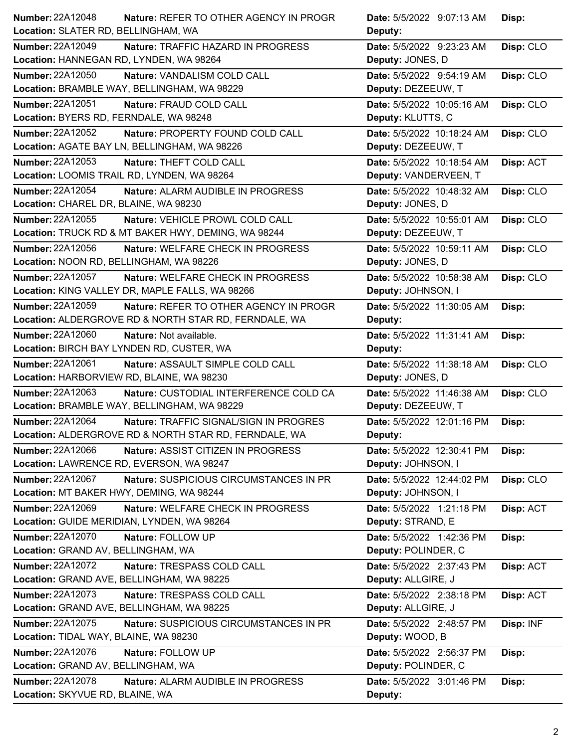|                                                                   | Date: 5/5/2022 9:07:13 AM<br>Disp:      |
|-------------------------------------------------------------------|-----------------------------------------|
| Location: SLATER RD, BELLINGHAM, WA                               | Deputy:                                 |
| <b>Number: 22A12049</b><br>Nature: TRAFFIC HAZARD IN PROGRESS     | Date: 5/5/2022 9:23:23 AM<br>Disp: CLO  |
| Location: HANNEGAN RD, LYNDEN, WA 98264                           | Deputy: JONES, D                        |
| <b>Number: 22A12050</b><br>Nature: VANDALISM COLD CALL            | Date: 5/5/2022 9:54:19 AM<br>Disp: CLO  |
| Location: BRAMBLE WAY, BELLINGHAM, WA 98229                       | Deputy: DEZEEUW, T                      |
| <b>Number: 22A12051</b><br>Nature: FRAUD COLD CALL                | Date: 5/5/2022 10:05:16 AM<br>Disp: CLO |
| Location: BYERS RD, FERNDALE, WA 98248                            | Deputy: KLUTTS, C                       |
| Number: 22A12052<br>Nature: PROPERTY FOUND COLD CALL              | Date: 5/5/2022 10:18:24 AM<br>Disp: CLO |
| Location: AGATE BAY LN, BELLINGHAM, WA 98226                      | Deputy: DEZEEUW, T                      |
| Number: 22A12053<br>Nature: THEFT COLD CALL                       | Date: 5/5/2022 10:18:54 AM<br>Disp: ACT |
| Location: LOOMIS TRAIL RD, LYNDEN, WA 98264                       | Deputy: VANDERVEEN, T                   |
| Number: 22A12054<br>Nature: ALARM AUDIBLE IN PROGRESS             | Date: 5/5/2022 10:48:32 AM<br>Disp: CLO |
| Location: CHAREL DR, BLAINE, WA 98230                             | Deputy: JONES, D                        |
| Number: 22A12055<br>Nature: VEHICLE PROWL COLD CALL               | Date: 5/5/2022 10:55:01 AM<br>Disp: CLO |
| Location: TRUCK RD & MT BAKER HWY, DEMING, WA 98244               | Deputy: DEZEEUW, T                      |
| <b>Number: 22A12056</b><br>Nature: WELFARE CHECK IN PROGRESS      | Date: 5/5/2022 10:59:11 AM<br>Disp: CLO |
| Location: NOON RD, BELLINGHAM, WA 98226                           | Deputy: JONES, D                        |
| Number: 22A12057<br>Nature: WELFARE CHECK IN PROGRESS             | Disp: CLO<br>Date: 5/5/2022 10:58:38 AM |
| Location: KING VALLEY DR, MAPLE FALLS, WA 98266                   | Deputy: JOHNSON, I                      |
| <b>Number: 22A12059</b><br>Nature: REFER TO OTHER AGENCY IN PROGR | Date: 5/5/2022 11:30:05 AM<br>Disp:     |
| Location: ALDERGROVE RD & NORTH STAR RD, FERNDALE, WA             | Deputy:                                 |
| Number: 22A12060<br>Nature: Not available.                        | Date: 5/5/2022 11:31:41 AM<br>Disp:     |
| Location: BIRCH BAY LYNDEN RD, CUSTER, WA                         | Deputy:                                 |
| Number: 22A12061<br>Nature: ASSAULT SIMPLE COLD CALL              | Date: 5/5/2022 11:38:18 AM<br>Disp: CLO |
| Location: HARBORVIEW RD, BLAINE, WA 98230                         | Deputy: JONES, D                        |
| Number: 22A12063<br>Nature: CUSTODIAL INTERFERENCE COLD CA        | Date: 5/5/2022 11:46:38 AM<br>Disp: CLO |
| Location: BRAMBLE WAY, BELLINGHAM, WA 98229                       | Deputy: DEZEEUW, T                      |
| Number: 22A12064<br>Nature: TRAFFIC SIGNAL/SIGN IN PROGRES        | Date: 5/5/2022 12:01:16 PM<br>Disp:     |
|                                                                   |                                         |
| Location: ALDERGROVE RD & NORTH STAR RD, FERNDALE, WA             | <b>Deputy:</b>                          |
| Number: 22A12066<br>Nature: ASSIST CITIZEN IN PROGRESS            | Date: 5/5/2022 12:30:41 PM<br>Disp:     |
| Location: LAWRENCE RD, EVERSON, WA 98247                          | Deputy: JOHNSON, I                      |
| Number: 22A12067<br>Nature: SUSPICIOUS CIRCUMSTANCES IN PR        | Date: 5/5/2022 12:44:02 PM<br>Disp: CLO |
| Location: MT BAKER HWY, DEMING, WA 98244                          | Deputy: JOHNSON, I                      |
| Number: 22A12069<br>Nature: WELFARE CHECK IN PROGRESS             | Date: 5/5/2022 1:21:18 PM<br>Disp: ACT  |
| Location: GUIDE MERIDIAN, LYNDEN, WA 98264                        | Deputy: STRAND, E                       |
| <b>Number: 22A12070</b><br>Nature: FOLLOW UP                      | Date: 5/5/2022 1:42:36 PM<br>Disp:      |
| Location: GRAND AV, BELLINGHAM, WA                                | Deputy: POLINDER, C                     |
| Number: 22A12072<br>Nature: TRESPASS COLD CALL                    | Date: 5/5/2022 2:37:43 PM<br>Disp: ACT  |
| Location: GRAND AVE, BELLINGHAM, WA 98225                         | Deputy: ALLGIRE, J                      |
| <b>Number: 22A12073</b><br>Nature: TRESPASS COLD CALL             | Date: 5/5/2022 2:38:18 PM<br>Disp: ACT  |
| Location: GRAND AVE, BELLINGHAM, WA 98225                         | Deputy: ALLGIRE, J                      |
| Number: 22A12075<br>Nature: SUSPICIOUS CIRCUMSTANCES IN PR        | Disp: INF<br>Date: 5/5/2022 2:48:57 PM  |
| Location: TIDAL WAY, BLAINE, WA 98230                             | Deputy: WOOD, B                         |
| Number: 22A12076<br>Nature: FOLLOW UP                             | Date: 5/5/2022 2:56:37 PM               |
| Location: GRAND AV, BELLINGHAM, WA                                | Disp:<br>Deputy: POLINDER, C            |
| <b>Number: 22A12078</b><br>Nature: ALARM AUDIBLE IN PROGRESS      | Date: 5/5/2022 3:01:46 PM<br>Disp:      |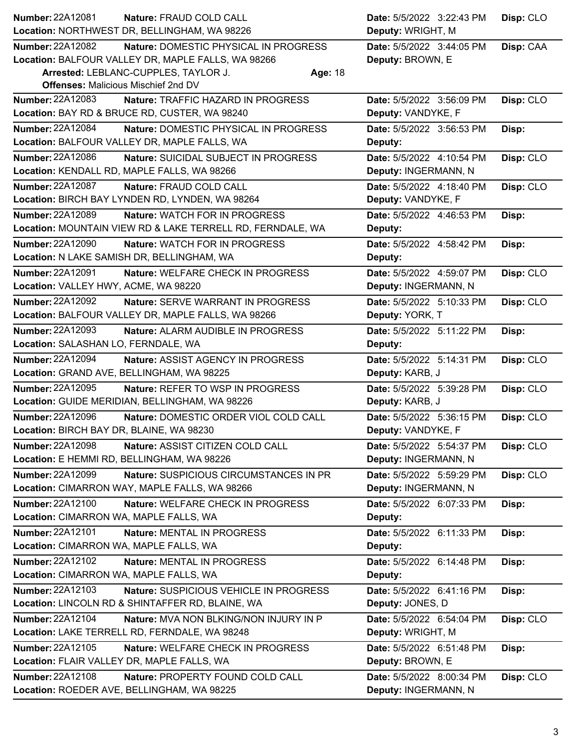| Number: 22A12081                           | Nature: FRAUD COLD CALL                                                               | Date: 5/5/2022 3:22:43 PM                         | Disp: CLO |
|--------------------------------------------|---------------------------------------------------------------------------------------|---------------------------------------------------|-----------|
|                                            | Location: NORTHWEST DR, BELLINGHAM, WA 98226                                          | Deputy: WRIGHT, M                                 |           |
| <b>Number: 22A12082</b>                    | Nature: DOMESTIC PHYSICAL IN PROGRESS                                                 | Date: 5/5/2022 3:44:05 PM                         | Disp: CAA |
|                                            | Location: BALFOUR VALLEY DR, MAPLE FALLS, WA 98266                                    | Deputy: BROWN, E                                  |           |
|                                            | Arrested: LEBLANC-CUPPLES, TAYLOR J.<br>Age: 18                                       |                                                   |           |
| <b>Offenses: Malicious Mischief 2nd DV</b> |                                                                                       |                                                   |           |
| <b>Number: 22A12083</b>                    | Nature: TRAFFIC HAZARD IN PROGRESS                                                    | Date: 5/5/2022 3:56:09 PM                         | Disp: CLO |
|                                            | Location: BAY RD & BRUCE RD, CUSTER, WA 98240                                         | Deputy: VANDYKE, F                                |           |
| Number: 22A12084                           | Nature: DOMESTIC PHYSICAL IN PROGRESS<br>Location: BALFOUR VALLEY DR, MAPLE FALLS, WA | Date: 5/5/2022 3:56:53 PM<br>Deputy:              | Disp:     |
| Number: 22A12086                           | <b>Nature: SUICIDAL SUBJECT IN PROGRESS</b>                                           | Date: 5/5/2022 4:10:54 PM                         | Disp: CLO |
|                                            | Location: KENDALL RD, MAPLE FALLS, WA 98266                                           | Deputy: INGERMANN, N                              |           |
| Number: 22A12087                           | Nature: FRAUD COLD CALL                                                               | Date: 5/5/2022 4:18:40 PM                         | Disp: CLO |
|                                            | Location: BIRCH BAY LYNDEN RD, LYNDEN, WA 98264                                       | Deputy: VANDYKE, F                                |           |
| Number: 22A12089                           | <b>Nature: WATCH FOR IN PROGRESS</b>                                                  | Date: 5/5/2022 4:46:53 PM                         | Disp:     |
|                                            | Location: MOUNTAIN VIEW RD & LAKE TERRELL RD, FERNDALE, WA                            | Deputy:                                           |           |
| <b>Number: 22A12090</b>                    | <b>Nature: WATCH FOR IN PROGRESS</b>                                                  | Date: 5/5/2022 4:58:42 PM                         | Disp:     |
| Location: N LAKE SAMISH DR, BELLINGHAM, WA |                                                                                       | Deputy:                                           |           |
| <b>Number: 22A12091</b>                    | Nature: WELFARE CHECK IN PROGRESS                                                     | Date: 5/5/2022 4:59:07 PM                         | Disp: CLO |
| Location: VALLEY HWY, ACME, WA 98220       |                                                                                       | Deputy: INGERMANN, N                              |           |
| <b>Number: 22A12092</b>                    | <b>Nature: SERVE WARRANT IN PROGRESS</b>                                              | Date: 5/5/2022 5:10:33 PM                         | Disp: CLO |
|                                            | Location: BALFOUR VALLEY DR, MAPLE FALLS, WA 98266                                    | Deputy: YORK, T                                   |           |
| Number: 22A12093                           | Nature: ALARM AUDIBLE IN PROGRESS                                                     | Date: 5/5/2022 5:11:22 PM                         | Disp:     |
| Location: SALASHAN LO, FERNDALE, WA        |                                                                                       | Deputy:                                           |           |
| <b>Number: 22A12094</b>                    | Nature: ASSIST AGENCY IN PROGRESS                                                     | Date: 5/5/2022 5:14:31 PM                         | Disp: CLO |
|                                            |                                                                                       |                                                   |           |
| Location: GRAND AVE, BELLINGHAM, WA 98225  |                                                                                       | Deputy: KARB, J                                   |           |
| <b>Number: 22A12095</b>                    | Nature: REFER TO WSP IN PROGRESS                                                      | Date: 5/5/2022 5:39:28 PM                         | Disp: CLO |
|                                            | Location: GUIDE MERIDIAN, BELLINGHAM, WA 98226                                        | Deputy: KARB, J                                   |           |
| <b>Number: 22A12096</b>                    | Nature: DOMESTIC ORDER VIOL COLD CALL                                                 | Date: 5/5/2022 5:36:15 PM                         | Disp: CLO |
| Location: BIRCH BAY DR, BLAINE, WA 98230   |                                                                                       | Deputy: VANDYKE, F                                |           |
| <b>Number: 22A12098</b>                    | Nature: ASSIST CITIZEN COLD CALL                                                      | Date: 5/5/2022 5:54:37 PM                         | Disp: CLO |
| Location: E HEMMI RD, BELLINGHAM, WA 98226 |                                                                                       | Deputy: INGERMANN, N                              |           |
| Number: 22A12099                           | Nature: SUSPICIOUS CIRCUMSTANCES IN PR                                                | Date: 5/5/2022 5:59:29 PM                         | Disp: CLO |
|                                            | Location: CIMARRON WAY, MAPLE FALLS, WA 98266                                         | Deputy: INGERMANN, N                              |           |
| Number: 22A12100                           | Nature: WELFARE CHECK IN PROGRESS                                                     | Date: 5/5/2022 6:07:33 PM                         | Disp:     |
| Location: CIMARRON WA, MAPLE FALLS, WA     |                                                                                       | Deputy:                                           |           |
| Number: 22A12101                           | Nature: MENTAL IN PROGRESS                                                            | Date: 5/5/2022 6:11:33 PM                         | Disp:     |
| Location: CIMARRON WA, MAPLE FALLS, WA     |                                                                                       | Deputy:                                           |           |
| Number: 22A12102                           | <b>Nature: MENTAL IN PROGRESS</b>                                                     | Date: 5/5/2022 6:14:48 PM                         | Disp:     |
| Location: CIMARRON WA, MAPLE FALLS, WA     |                                                                                       | Deputy:                                           |           |
| <b>Number: 22A12103</b>                    | Nature: SUSPICIOUS VEHICLE IN PROGRESS                                                | Date: 5/5/2022 6:41:16 PM                         | Disp:     |
|                                            | Location: LINCOLN RD & SHINTAFFER RD, BLAINE, WA                                      | Deputy: JONES, D                                  |           |
| Number: 22A12104                           | Nature: MVA NON BLKING/NON INJURY IN P                                                | Date: 5/5/2022 6:54:04 PM                         | Disp: CLO |
|                                            | Location: LAKE TERRELL RD, FERNDALE, WA 98248                                         | Deputy: WRIGHT, M                                 |           |
| Number: 22A12105                           | Nature: WELFARE CHECK IN PROGRESS                                                     | Date: 5/5/2022 6:51:48 PM                         | Disp:     |
| Location: FLAIR VALLEY DR, MAPLE FALLS, WA |                                                                                       | Deputy: BROWN, E                                  |           |
| Number: 22A12108                           | Nature: PROPERTY FOUND COLD CALL<br>Location: ROEDER AVE, BELLINGHAM, WA 98225        | Date: 5/5/2022 8:00:34 PM<br>Deputy: INGERMANN, N | Disp: CLO |